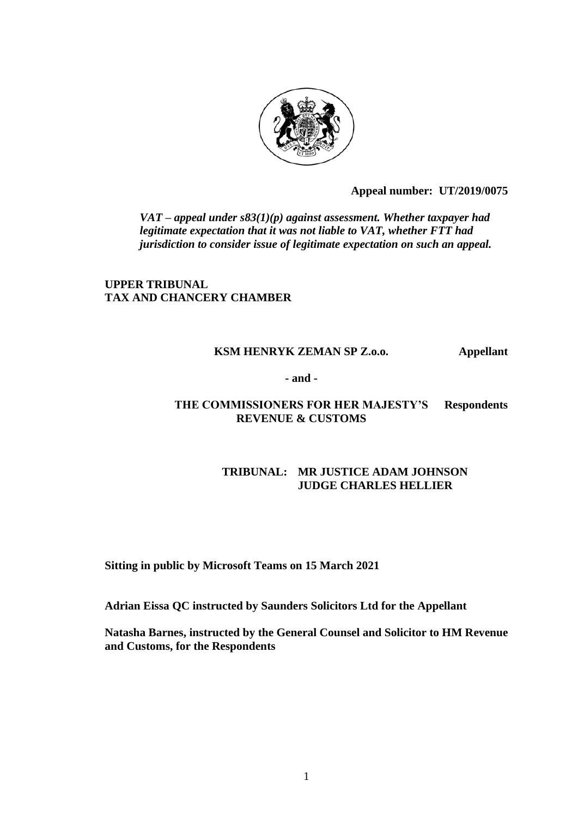

**Appeal number: UT/2019/0075** 

*VAT – appeal under s83(1)(p) against assessment. Whether taxpayer had legitimate expectation that it was not liable to VAT, whether FTT had jurisdiction to consider issue of legitimate expectation on such an appeal.*

# **UPPER TRIBUNAL TAX AND CHANCERY CHAMBER**

## **KSM HENRYK ZEMAN SP Z.o.o. Appellant**

**- and -**

## **THE COMMISSIONERS FOR HER MAJESTY'S Respondents REVENUE & CUSTOMS**

## **TRIBUNAL: MR JUSTICE ADAM JOHNSON JUDGE CHARLES HELLIER**

**Sitting in public by Microsoft Teams on 15 March 2021**

**Adrian Eissa QC instructed by Saunders Solicitors Ltd for the Appellant**

**Natasha Barnes, instructed by the General Counsel and Solicitor to HM Revenue and Customs, for the Respondents**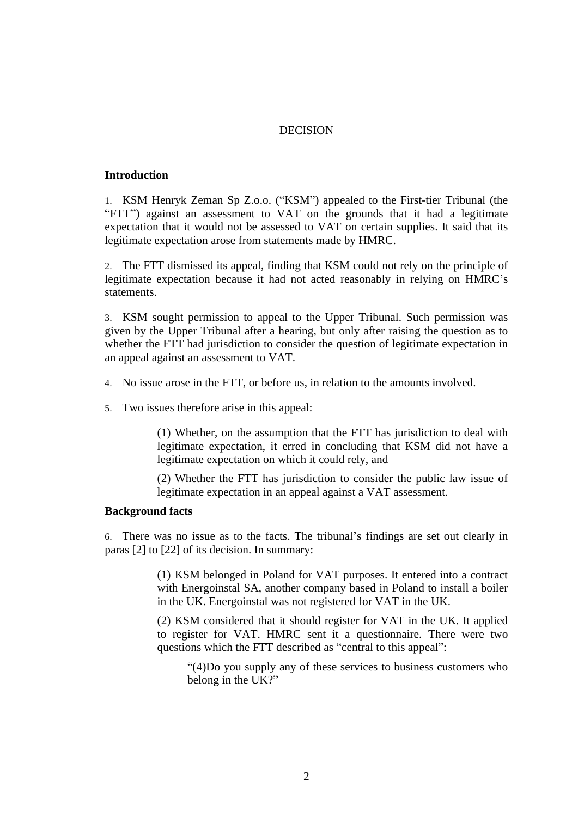## DECISION

### **Introduction**

1. KSM Henryk Zeman Sp Z.o.o. ("KSM") appealed to the First-tier Tribunal (the "FTT") against an assessment to VAT on the grounds that it had a legitimate expectation that it would not be assessed to VAT on certain supplies. It said that its legitimate expectation arose from statements made by HMRC.

2. The FTT dismissed its appeal, finding that KSM could not rely on the principle of legitimate expectation because it had not acted reasonably in relying on HMRC's statements.

3. KSM sought permission to appeal to the Upper Tribunal. Such permission was given by the Upper Tribunal after a hearing, but only after raising the question as to whether the FTT had jurisdiction to consider the question of legitimate expectation in an appeal against an assessment to VAT.

- 4. No issue arose in the FTT, or before us, in relation to the amounts involved.
- 5. Two issues therefore arise in this appeal:

(1) Whether, on the assumption that the FTT has jurisdiction to deal with legitimate expectation, it erred in concluding that KSM did not have a legitimate expectation on which it could rely, and

(2) Whether the FTT has jurisdiction to consider the public law issue of legitimate expectation in an appeal against a VAT assessment.

#### **Background facts**

6. There was no issue as to the facts. The tribunal's findings are set out clearly in paras [2] to [22] of its decision. In summary:

> (1) KSM belonged in Poland for VAT purposes. It entered into a contract with Energoinstal SA, another company based in Poland to install a boiler in the UK. Energoinstal was not registered for VAT in the UK.

> (2) KSM considered that it should register for VAT in the UK. It applied to register for VAT. HMRC sent it a questionnaire. There were two questions which the FTT described as "central to this appeal":

"(4)Do you supply any of these services to business customers who belong in the UK?"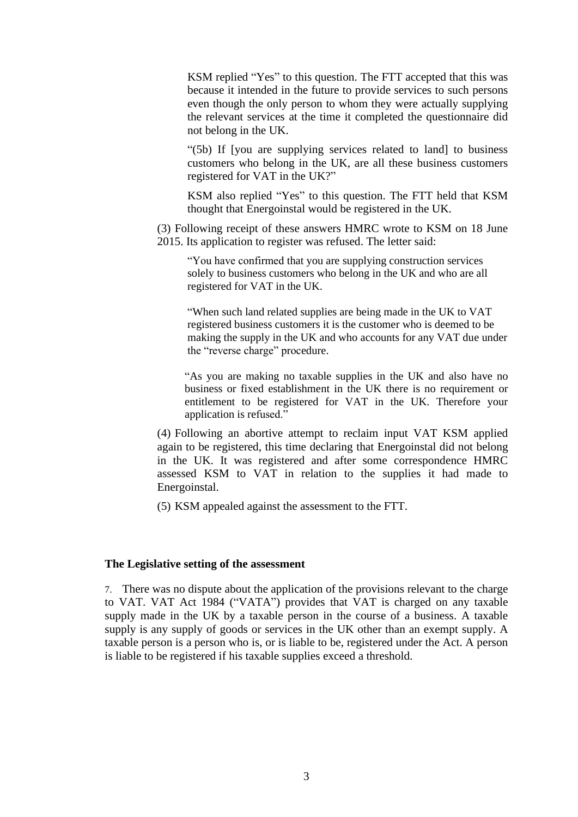KSM replied "Yes" to this question. The FTT accepted that this was because it intended in the future to provide services to such persons even though the only person to whom they were actually supplying the relevant services at the time it completed the questionnaire did not belong in the UK.

"(5b) If [you are supplying services related to land] to business customers who belong in the UK, are all these business customers registered for VAT in the UK?"

KSM also replied "Yes" to this question. The FTT held that KSM thought that Energoinstal would be registered in the UK.

(3) Following receipt of these answers HMRC wrote to KSM on 18 June 2015. Its application to register was refused. The letter said:

"You have confirmed that you are supplying construction services solely to business customers who belong in the UK and who are all registered for VAT in the UK.

"When such land related supplies are being made in the UK to VAT registered business customers it is the customer who is deemed to be making the supply in the UK and who accounts for any VAT due under the "reverse charge" procedure.

"As you are making no taxable supplies in the UK and also have no business or fixed establishment in the UK there is no requirement or entitlement to be registered for VAT in the UK. Therefore your application is refused."

(4) Following an abortive attempt to reclaim input VAT KSM applied again to be registered, this time declaring that Energoinstal did not belong in the UK. It was registered and after some correspondence HMRC assessed KSM to VAT in relation to the supplies it had made to Energoinstal.

(5) KSM appealed against the assessment to the FTT.

#### **The Legislative setting of the assessment**

7. There was no dispute about the application of the provisions relevant to the charge to VAT. VAT Act 1984 ("VATA") provides that VAT is charged on any taxable supply made in the UK by a taxable person in the course of a business. A taxable supply is any supply of goods or services in the UK other than an exempt supply. A taxable person is a person who is, or is liable to be, registered under the Act. A person is liable to be registered if his taxable supplies exceed a threshold.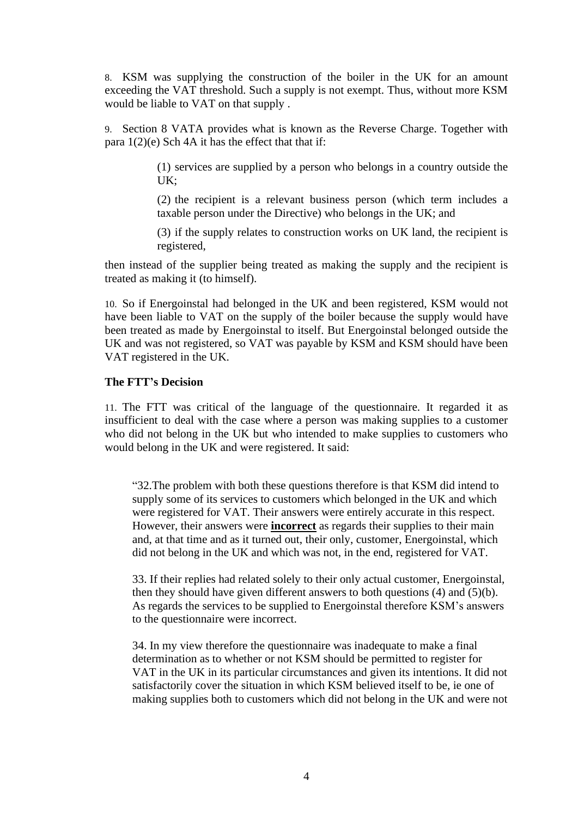8. KSM was supplying the construction of the boiler in the UK for an amount exceeding the VAT threshold. Such a supply is not exempt. Thus, without more KSM would be liable to VAT on that supply .

9. Section 8 VATA provides what is known as the Reverse Charge. Together with para  $1(2)(e)$  Sch 4A it has the effect that that if:

> (1) services are supplied by a person who belongs in a country outside the UK;

> (2) the recipient is a relevant business person (which term includes a taxable person under the Directive) who belongs in the UK; and

> (3) if the supply relates to construction works on UK land, the recipient is registered,

then instead of the supplier being treated as making the supply and the recipient is treated as making it (to himself).

10. So if Energoinstal had belonged in the UK and been registered, KSM would not have been liable to VAT on the supply of the boiler because the supply would have been treated as made by Energoinstal to itself. But Energoinstal belonged outside the UK and was not registered, so VAT was payable by KSM and KSM should have been VAT registered in the UK.

#### **The FTT's Decision**

11. The FTT was critical of the language of the questionnaire. It regarded it as insufficient to deal with the case where a person was making supplies to a customer who did not belong in the UK but who intended to make supplies to customers who would belong in the UK and were registered. It said:

"32.The problem with both these questions therefore is that KSM did intend to supply some of its services to customers which belonged in the UK and which were registered for VAT. Their answers were entirely accurate in this respect. However, their answers were **incorrect** as regards their supplies to their main and, at that time and as it turned out, their only, customer, Energoinstal, which did not belong in the UK and which was not, in the end, registered for VAT.

33. If their replies had related solely to their only actual customer, Energoinstal, then they should have given different answers to both questions (4) and (5)(b). As regards the services to be supplied to Energoinstal therefore KSM's answers to the questionnaire were incorrect.

34. In my view therefore the questionnaire was inadequate to make a final determination as to whether or not KSM should be permitted to register for VAT in the UK in its particular circumstances and given its intentions. It did not satisfactorily cover the situation in which KSM believed itself to be, ie one of making supplies both to customers which did not belong in the UK and were not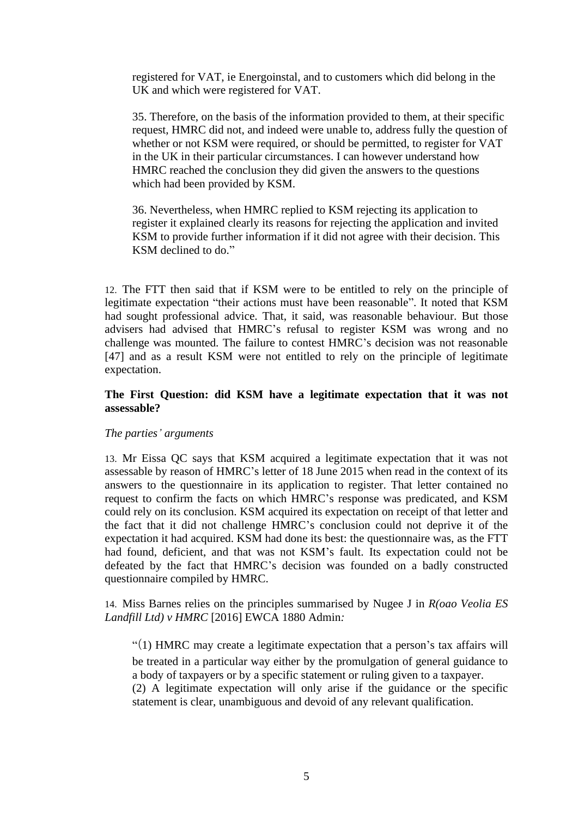registered for VAT, ie Energoinstal, and to customers which did belong in the UK and which were registered for VAT.

35. Therefore, on the basis of the information provided to them, at their specific request, HMRC did not, and indeed were unable to, address fully the question of whether or not KSM were required, or should be permitted, to register for VAT in the UK in their particular circumstances. I can however understand how HMRC reached the conclusion they did given the answers to the questions which had been provided by KSM.

36. Nevertheless, when HMRC replied to KSM rejecting its application to register it explained clearly its reasons for rejecting the application and invited KSM to provide further information if it did not agree with their decision. This KSM declined to do."

12. The FTT then said that if KSM were to be entitled to rely on the principle of legitimate expectation "their actions must have been reasonable". It noted that KSM had sought professional advice. That, it said, was reasonable behaviour. But those advisers had advised that HMRC's refusal to register KSM was wrong and no challenge was mounted. The failure to contest HMRC's decision was not reasonable [47] and as a result KSM were not entitled to rely on the principle of legitimate expectation.

## **The First Question: did KSM have a legitimate expectation that it was not assessable?**

## *The parties' arguments*

13. Mr Eissa QC says that KSM acquired a legitimate expectation that it was not assessable by reason of HMRC's letter of 18 June 2015 when read in the context of its answers to the questionnaire in its application to register. That letter contained no request to confirm the facts on which HMRC's response was predicated, and KSM could rely on its conclusion. KSM acquired its expectation on receipt of that letter and the fact that it did not challenge HMRC's conclusion could not deprive it of the expectation it had acquired. KSM had done its best: the questionnaire was, as the FTT had found, deficient, and that was not KSM's fault. Its expectation could not be defeated by the fact that HMRC's decision was founded on a badly constructed questionnaire compiled by HMRC.

14. Miss Barnes relies on the principles summarised by Nugee J in *R(oao Veolia ES Landfill Ltd) v HMRC* [2016] EWCA 1880 Admin*:*

"(1) HMRC may create a legitimate expectation that a person's tax affairs will be treated in a particular way either by the promulgation of general guidance to a body of taxpayers or by a specific statement or ruling given to a taxpayer.

(2) A legitimate expectation will only arise if the guidance or the specific statement is clear, unambiguous and devoid of any relevant qualification.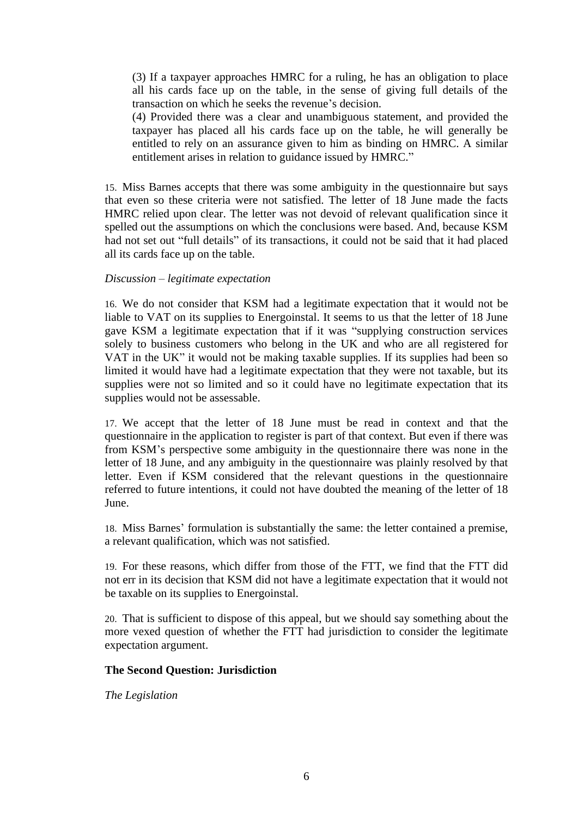(3) If a taxpayer approaches HMRC for a ruling, he has an obligation to place all his cards face up on the table, in the sense of giving full details of the transaction on which he seeks the revenue's decision.

(4) Provided there was a clear and unambiguous statement, and provided the taxpayer has placed all his cards face up on the table, he will generally be entitled to rely on an assurance given to him as binding on HMRC. A similar entitlement arises in relation to guidance issued by HMRC."

15. Miss Barnes accepts that there was some ambiguity in the questionnaire but says that even so these criteria were not satisfied. The letter of 18 June made the facts HMRC relied upon clear. The letter was not devoid of relevant qualification since it spelled out the assumptions on which the conclusions were based. And, because KSM had not set out "full details" of its transactions, it could not be said that it had placed all its cards face up on the table.

### *Discussion – legitimate expectation*

16. We do not consider that KSM had a legitimate expectation that it would not be liable to VAT on its supplies to Energoinstal. It seems to us that the letter of 18 June gave KSM a legitimate expectation that if it was "supplying construction services solely to business customers who belong in the UK and who are all registered for VAT in the UK" it would not be making taxable supplies. If its supplies had been so limited it would have had a legitimate expectation that they were not taxable, but its supplies were not so limited and so it could have no legitimate expectation that its supplies would not be assessable.

17. We accept that the letter of 18 June must be read in context and that the questionnaire in the application to register is part of that context. But even if there was from KSM's perspective some ambiguity in the questionnaire there was none in the letter of 18 June, and any ambiguity in the questionnaire was plainly resolved by that letter. Even if KSM considered that the relevant questions in the questionnaire referred to future intentions, it could not have doubted the meaning of the letter of 18 June.

18. Miss Barnes' formulation is substantially the same: the letter contained a premise, a relevant qualification, which was not satisfied.

19. For these reasons, which differ from those of the FTT, we find that the FTT did not err in its decision that KSM did not have a legitimate expectation that it would not be taxable on its supplies to Energoinstal.

20. That is sufficient to dispose of this appeal, but we should say something about the more vexed question of whether the FTT had jurisdiction to consider the legitimate expectation argument.

## **The Second Question: Jurisdiction**

*The Legislation*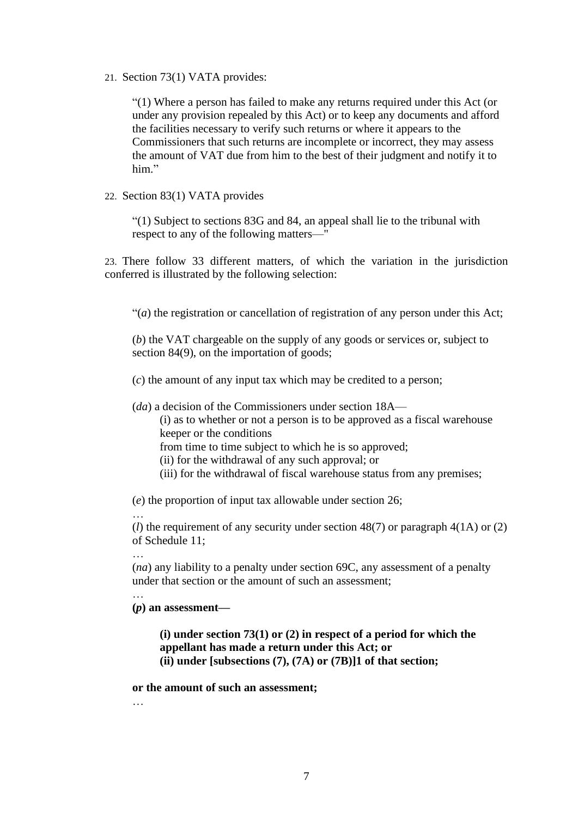21. Section 73(1) VATA provides:

"(1) Where a person has failed to make any returns required under this Act (or under any provision repealed by this Act) or to keep any documents and afford the facilities necessary to verify such returns or where it appears to the Commissioners that such returns are incomplete or incorrect, they may assess the amount of VAT due from him to the best of their judgment and notify it to him"

22. Section 83(1) VATA provides

"(1) Subject to sections 83G and 84, an appeal shall lie to the tribunal with respect to any of the following matters—"

23. There follow 33 different matters, of which the variation in the jurisdiction conferred is illustrated by the following selection:

"(*a*) the registration or cancellation of registration of any person under this Act;

(*b*) the VAT chargeable on the supply of any goods or services or, subject to section 84(9), on the importation of goods;

(*c*) the amount of any input tax which may be credited to a person;

(*da*) a decision of the Commissioners under section 18A—

(i) as to whether or not a person is to be approved as a fiscal warehouse keeper or the conditions

from time to time subject to which he is so approved;

(ii) for the withdrawal of any such approval; or

(iii) for the withdrawal of fiscal warehouse status from any premises;

(*e*) the proportion of input tax allowable under section 26;

(*l*) the requirement of any security under section 48(7) or paragraph 4(1A) or (2) of Schedule 11;

…

…

…

(*na*) any liability to a penalty under section 69C, any assessment of a penalty under that section or the amount of such an assessment;

**(***p***) an assessment—**

**(i) under section 73(1) or (2) in respect of a period for which the appellant has made a return under this Act; or (ii) under [subsections (7), (7A) or (7B)]1 of that section;**

### **or the amount of such an assessment;**

…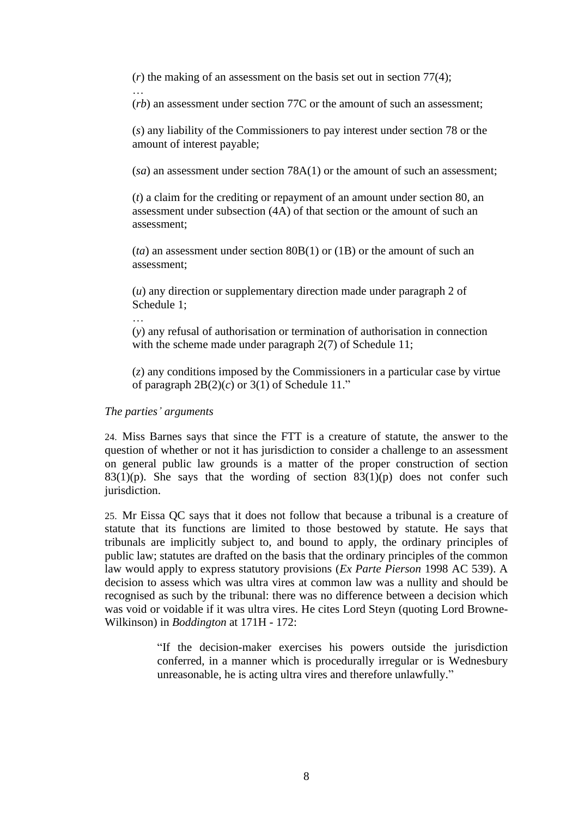(*r*) the making of an assessment on the basis set out in section 77(4);

(*rb*) an assessment under section 77C or the amount of such an assessment;

(*s*) any liability of the Commissioners to pay interest under section 78 or the amount of interest payable;

(*sa*) an assessment under section 78A(1) or the amount of such an assessment;

(*t*) a claim for the crediting or repayment of an amount under section 80, an assessment under subsection (4A) of that section or the amount of such an assessment;

(*ta*) an assessment under section 80B(1) or (1B) or the amount of such an assessment;

(*u*) any direction or supplementary direction made under paragraph 2 of Schedule 1;

(*y*) any refusal of authorisation or termination of authorisation in connection with the scheme made under paragraph 2(7) of Schedule 11;

(*z*) any conditions imposed by the Commissioners in a particular case by virtue of paragraph  $2B(2)(c)$  or  $3(1)$  of Schedule 11."

### *The parties' arguments*

…

…

24. Miss Barnes says that since the FTT is a creature of statute, the answer to the question of whether or not it has jurisdiction to consider a challenge to an assessment on general public law grounds is a matter of the proper construction of section  $83(1)(p)$ . She says that the wording of section  $83(1)(p)$  does not confer such jurisdiction.

25. Mr Eissa QC says that it does not follow that because a tribunal is a creature of statute that its functions are limited to those bestowed by statute. He says that tribunals are implicitly subject to, and bound to apply, the ordinary principles of public law; statutes are drafted on the basis that the ordinary principles of the common law would apply to express statutory provisions (*Ex Parte Pierson* 1998 AC 539). A decision to assess which was ultra vires at common law was a nullity and should be recognised as such by the tribunal: there was no difference between a decision which was void or voidable if it was ultra vires. He cites Lord Steyn (quoting Lord Browne-Wilkinson) in *Boddington* at 171H - 172:

> "If the decision-maker exercises his powers outside the jurisdiction conferred, in a manner which is procedurally irregular or is Wednesbury unreasonable, he is acting ultra vires and therefore unlawfully."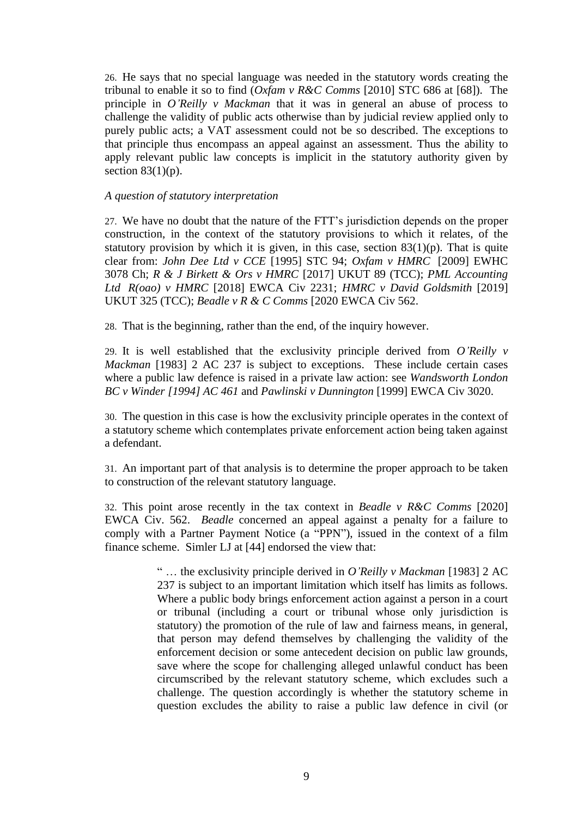26. He says that no special language was needed in the statutory words creating the tribunal to enable it so to find (*Oxfam v R&C Comms* [2010] STC 686 at [68]). The principle in *O'Reilly v Mackman* that it was in general an abuse of process to challenge the validity of public acts otherwise than by judicial review applied only to purely public acts; a VAT assessment could not be so described. The exceptions to that principle thus encompass an appeal against an assessment. Thus the ability to apply relevant public law concepts is implicit in the statutory authority given by section  $83(1)(p)$ .

### *A question of statutory interpretation*

27. We have no doubt that the nature of the FTT's jurisdiction depends on the proper construction, in the context of the statutory provisions to which it relates, of the statutory provision by which it is given, in this case, section  $83(1)(p)$ . That is quite clear from: *John Dee Ltd v CCE* [1995] STC 94; *Oxfam v HMRC* [2009] EWHC 3078 Ch; *R & J Birkett & Ors v HMRC* [2017] UKUT 89 (TCC); *PML Accounting Ltd R(oao) v HMRC* [2018] EWCA Civ 2231; *HMRC v David Goldsmith* [2019] UKUT 325 (TCC); *Beadle v R & C Comms* [2020 EWCA Civ 562.

28. That is the beginning, rather than the end, of the inquiry however.

29. It is well established that the exclusivity principle derived from *O'Reilly v Mackman* [1983] 2 AC 237 is subject to exceptions. These include certain cases where a public law defence is raised in a private law action: see *Wandsworth London BC v Winder [1994] AC 461* and *Pawlinski v Dunnington* [1999] EWCA Civ 3020.

30. The question in this case is how the exclusivity principle operates in the context of a statutory scheme which contemplates private enforcement action being taken against a defendant.

31. An important part of that analysis is to determine the proper approach to be taken to construction of the relevant statutory language.

32. This point arose recently in the tax context in *Beadle v R&C Comms* [2020] EWCA Civ. 562. *Beadle* concerned an appeal against a penalty for a failure to comply with a Partner Payment Notice (a "PPN"), issued in the context of a film finance scheme. Simler LJ at [44] endorsed the view that:

> " … the exclusivity principle derived in *O'Reilly v Mackman* [1983] 2 AC 237 is subject to an important limitation which itself has limits as follows. Where a public body brings enforcement action against a person in a court or tribunal (including a court or tribunal whose only jurisdiction is statutory) the promotion of the rule of law and fairness means, in general, that person may defend themselves by challenging the validity of the enforcement decision or some antecedent decision on public law grounds, save where the scope for challenging alleged unlawful conduct has been circumscribed by the relevant statutory scheme, which excludes such a challenge. The question accordingly is whether the statutory scheme in question excludes the ability to raise a public law defence in civil (or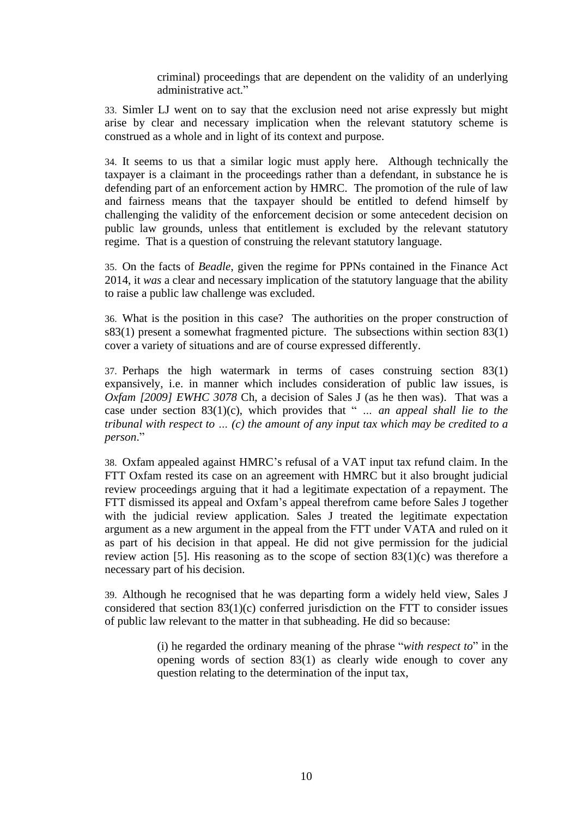criminal) proceedings that are dependent on the validity of an underlying administrative act."

33. Simler LJ went on to say that the exclusion need not arise expressly but might arise by clear and necessary implication when the relevant statutory scheme is construed as a whole and in light of its context and purpose.

34. It seems to us that a similar logic must apply here. Although technically the taxpayer is a claimant in the proceedings rather than a defendant, in substance he is defending part of an enforcement action by HMRC. The promotion of the rule of law and fairness means that the taxpayer should be entitled to defend himself by challenging the validity of the enforcement decision or some antecedent decision on public law grounds, unless that entitlement is excluded by the relevant statutory regime. That is a question of construing the relevant statutory language.

35. On the facts of *Beadle*, given the regime for PPNs contained in the Finance Act 2014, it *was* a clear and necessary implication of the statutory language that the ability to raise a public law challenge was excluded.

36. What is the position in this case? The authorities on the proper construction of s83(1) present a somewhat fragmented picture. The subsections within section 83(1) cover a variety of situations and are of course expressed differently.

37. Perhaps the high watermark in terms of cases construing section 83(1) expansively, i.e. in manner which includes consideration of public law issues, is *Oxfam [2009] EWHC 3078* Ch, a decision of Sales J (as he then was). That was a case under section 83(1)(c), which provides that " *… an appeal shall lie to the tribunal with respect to … (c) the amount of any input tax which may be credited to a person*."

38. Oxfam appealed against HMRC's refusal of a VAT input tax refund claim. In the FTT Oxfam rested its case on an agreement with HMRC but it also brought judicial review proceedings arguing that it had a legitimate expectation of a repayment. The FTT dismissed its appeal and Oxfam's appeal therefrom came before Sales J together with the judicial review application. Sales J treated the legitimate expectation argument as a new argument in the appeal from the FTT under VATA and ruled on it as part of his decision in that appeal. He did not give permission for the judicial review action [5]. His reasoning as to the scope of section  $83(1)(c)$  was therefore a necessary part of his decision.

39. Although he recognised that he was departing form a widely held view, Sales J considered that section 83(1)(c) conferred jurisdiction on the FTT to consider issues of public law relevant to the matter in that subheading. He did so because:

> (i) he regarded the ordinary meaning of the phrase "*with respect to*" in the opening words of section 83(1) as clearly wide enough to cover any question relating to the determination of the input tax,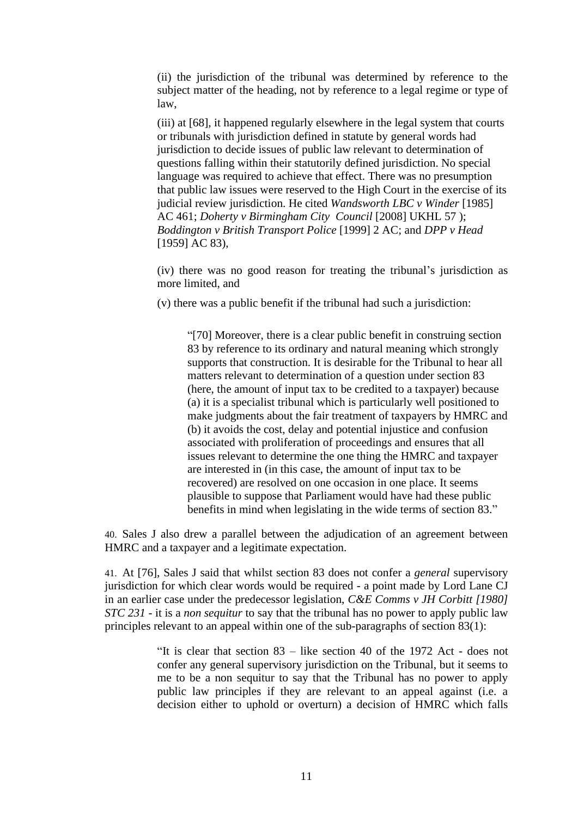(ii) the jurisdiction of the tribunal was determined by reference to the subject matter of the heading, not by reference to a legal regime or type of law,

(iii) at [68], it happened regularly elsewhere in the legal system that courts or tribunals with jurisdiction defined in statute by general words had jurisdiction to decide issues of public law relevant to determination of questions falling within their statutorily defined jurisdiction. No special language was required to achieve that effect. There was no presumption that public law issues were reserved to the High Court in the exercise of its judicial review jurisdiction. He cited *Wandsworth LBC v Winder* [1985] AC 461; *Doherty v Birmingham City Council* [2008] UKHL 57 ); *Boddington v British Transport Police* [1999] 2 AC; and *DPP v Head* [1959] AC 83),

(iv) there was no good reason for treating the tribunal's jurisdiction as more limited, and

(v) there was a public benefit if the tribunal had such a jurisdiction:

"[70] Moreover, there is a clear public benefit in construing section 83 by reference to its ordinary and natural meaning which strongly supports that construction. It is desirable for the Tribunal to hear all matters relevant to determination of a question under section 83 (here, the amount of input tax to be credited to a taxpayer) because (a) it is a specialist tribunal which is particularly well positioned to make judgments about the fair treatment of taxpayers by HMRC and (b) it avoids the cost, delay and potential injustice and confusion associated with proliferation of proceedings and ensures that all issues relevant to determine the one thing the HMRC and taxpayer are interested in (in this case, the amount of input tax to be recovered) are resolved on one occasion in one place. It seems plausible to suppose that Parliament would have had these public benefits in mind when legislating in the wide terms of section 83."

40. Sales J also drew a parallel between the adjudication of an agreement between HMRC and a taxpayer and a legitimate expectation.

41. At [76], Sales J said that whilst section 83 does not confer a *general* supervisory jurisdiction for which clear words would be required - a point made by Lord Lane CJ in an earlier case under the predecessor legislation, *C&E Comms v JH Corbitt [1980] STC 231* - it is a *non sequitur* to say that the tribunal has no power to apply public law principles relevant to an appeal within one of the sub-paragraphs of section 83(1):

> "It is clear that section 83 – like section 40 of the 1972 Act - does not confer any general supervisory jurisdiction on the Tribunal, but it seems to me to be a non sequitur to say that the Tribunal has no power to apply public law principles if they are relevant to an appeal against (i.e. a decision either to uphold or overturn) a decision of HMRC which falls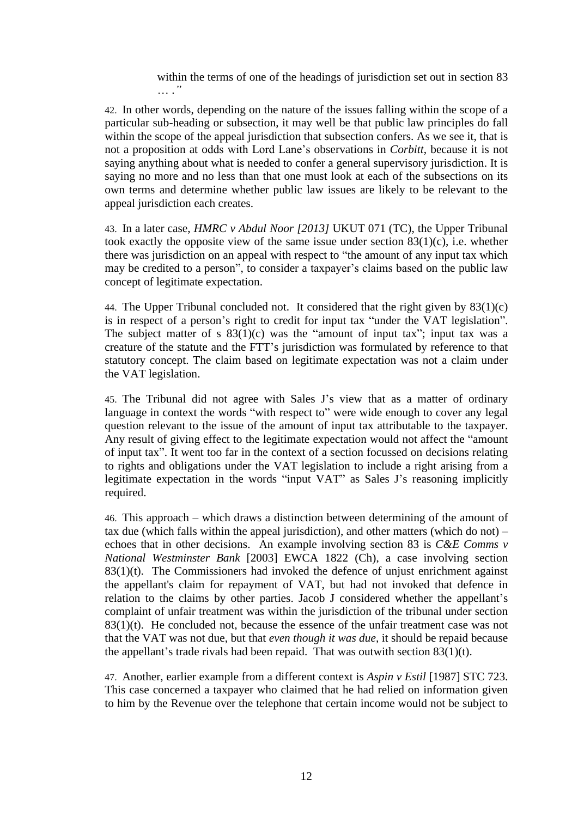within the terms of one of the headings of jurisdiction set out in section 83 … .*"*

42. In other words, depending on the nature of the issues falling within the scope of a particular sub-heading or subsection, it may well be that public law principles do fall within the scope of the appeal jurisdiction that subsection confers. As we see it, that is not a proposition at odds with Lord Lane's observations in *Corbitt*, because it is not saying anything about what is needed to confer a general supervisory jurisdiction. It is saying no more and no less than that one must look at each of the subsections on its own terms and determine whether public law issues are likely to be relevant to the appeal jurisdiction each creates.

43. In a later case, *HMRC v Abdul Noor [2013]* UKUT 071 (TC), the Upper Tribunal took exactly the opposite view of the same issue under section 83(1)(c), i.e. whether there was jurisdiction on an appeal with respect to "the amount of any input tax which may be credited to a person", to consider a taxpayer's claims based on the public law concept of legitimate expectation.

44. The Upper Tribunal concluded not. It considered that the right given by  $83(1)(c)$ is in respect of a person's right to credit for input tax "under the VAT legislation". The subject matter of s  $83(1)(c)$  was the "amount of input tax"; input tax was a creature of the statute and the FTT's jurisdiction was formulated by reference to that statutory concept. The claim based on legitimate expectation was not a claim under the VAT legislation.

45. The Tribunal did not agree with Sales J's view that as a matter of ordinary language in context the words "with respect to" were wide enough to cover any legal question relevant to the issue of the amount of input tax attributable to the taxpayer. Any result of giving effect to the legitimate expectation would not affect the "amount of input tax". It went too far in the context of a section focussed on decisions relating to rights and obligations under the VAT legislation to include a right arising from a legitimate expectation in the words "input VAT" as Sales J's reasoning implicitly required.

46. This approach – which draws a distinction between determining of the amount of tax due (which falls within the appeal jurisdiction), and other matters (which do not) – echoes that in other decisions. An example involving section 83 is *C&E Comms v National Westminster Bank* [2003] EWCA 1822 (Ch), a case involving section  $83(1)(t)$ . The Commissioners had invoked the defence of unjust enrichment against the appellant's claim for repayment of VAT, but had not invoked that defence in relation to the claims by other parties. Jacob J considered whether the appellant's complaint of unfair treatment was within the jurisdiction of the tribunal under section 83(1)(t). He concluded not, because the essence of the unfair treatment case was not that the VAT was not due, but that *even though it was due,* it should be repaid because the appellant's trade rivals had been repaid. That was outwith section  $83(1)(t)$ .

47. Another, earlier example from a different context is *Aspin v Estil* [1987] STC 723. This case concerned a taxpayer who claimed that he had relied on information given to him by the Revenue over the telephone that certain income would not be subject to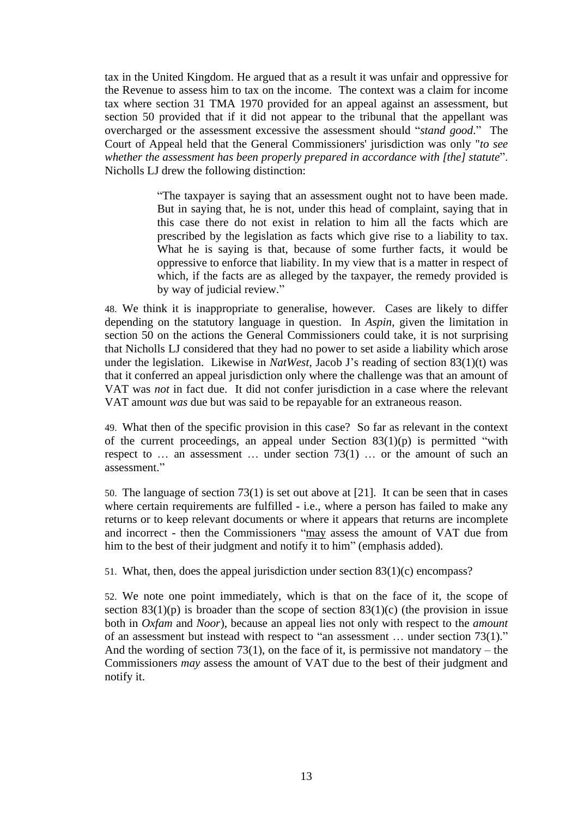tax in the United Kingdom. He argued that as a result it was unfair and oppressive for the Revenue to assess him to tax on the income. The context was a claim for income tax where section 31 TMA 1970 provided for an appeal against an assessment, but section 50 provided that if it did not appear to the tribunal that the appellant was overcharged or the assessment excessive the assessment should "*stand good*." The Court of Appeal held that the General Commissioners' jurisdiction was only "*to see whether the assessment has been properly prepared in accordance with [the] statute*". Nicholls LJ drew the following distinction:

> "The taxpayer is saying that an assessment ought not to have been made. But in saying that, he is not, under this head of complaint, saying that in this case there do not exist in relation to him all the facts which are prescribed by the legislation as facts which give rise to a liability to tax. What he is saying is that, because of some further facts, it would be oppressive to enforce that liability. In my view that is a matter in respect of which, if the facts are as alleged by the taxpayer, the remedy provided is by way of judicial review."

48. We think it is inappropriate to generalise, however. Cases are likely to differ depending on the statutory language in question. In *Aspin*, given the limitation in section 50 on the actions the General Commissioners could take, it is not surprising that Nicholls LJ considered that they had no power to set aside a liability which arose under the legislation. Likewise in *NatWest*, Jacob J's reading of section 83(1)(t) was that it conferred an appeal jurisdiction only where the challenge was that an amount of VAT was *not* in fact due. It did not confer jurisdiction in a case where the relevant VAT amount *was* due but was said to be repayable for an extraneous reason.

49. What then of the specific provision in this case? So far as relevant in the context of the current proceedings, an appeal under Section  $83(1)(p)$  is permitted "with respect to … an assessment … under section 73(1) … or the amount of such an assessment."

50. The language of section 73(1) is set out above at [21]. It can be seen that in cases where certain requirements are fulfilled - i.e., where a person has failed to make any returns or to keep relevant documents or where it appears that returns are incomplete and incorrect - then the Commissioners "may assess the amount of VAT due from him to the best of their judgment and notify it to him" (emphasis added).

51. What, then, does the appeal jurisdiction under section 83(1)(c) encompass?

52. We note one point immediately, which is that on the face of it, the scope of section  $83(1)(p)$  is broader than the scope of section  $83(1)(c)$  (the provision in issue both in *Oxfam* and *Noor*), because an appeal lies not only with respect to the *amount* of an assessment but instead with respect to "an assessment … under section 73(1)." And the wording of section 73(1), on the face of it, is permissive not mandatory – the Commissioners *may* assess the amount of VAT due to the best of their judgment and notify it.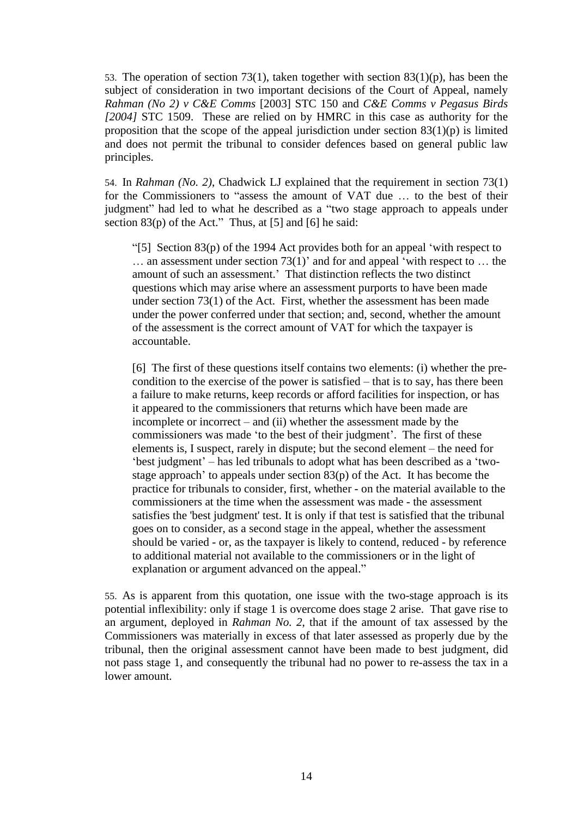53. The operation of section 73(1), taken together with section 83(1)(p), has been the subject of consideration in two important decisions of the Court of Appeal, namely *Rahman (No 2) v C&E Comms* [2003] STC 150 and *C&E Comms v Pegasus Birds [2004]* STC 1509. These are relied on by HMRC in this case as authority for the proposition that the scope of the appeal jurisdiction under section  $83(1)(p)$  is limited and does not permit the tribunal to consider defences based on general public law principles.

54. In *Rahman (No. 2)*, Chadwick LJ explained that the requirement in section 73(1) for the Commissioners to "assess the amount of VAT due … to the best of their judgment" had led to what he described as a "two stage approach to appeals under section 83(p) of the Act." Thus, at [5] and [6] he said:

"[5] Section 83(p) of the 1994 Act provides both for an appeal 'with respect to  $\dots$  an assessment under section 73(1)' and for and appeal 'with respect to  $\dots$  the amount of such an assessment.' That distinction reflects the two distinct questions which may arise where an assessment purports to have been made under section 73(1) of the Act. First, whether the assessment has been made under the power conferred under that section; and, second, whether the amount of the assessment is the correct amount of VAT for which the taxpayer is accountable.

[6] The first of these questions itself contains two elements: (i) whether the precondition to the exercise of the power is satisfied – that is to say, has there been a failure to make returns, keep records or afford facilities for inspection, or has it appeared to the commissioners that returns which have been made are incomplete or incorrect – and (ii) whether the assessment made by the commissioners was made 'to the best of their judgment'. The first of these elements is, I suspect, rarely in dispute; but the second element – the need for 'best judgment' – has led tribunals to adopt what has been described as a 'twostage approach' to appeals under section 83(p) of the Act. It has become the practice for tribunals to consider, first, whether - on the material available to the commissioners at the time when the assessment was made - the assessment satisfies the 'best judgment' test. It is only if that test is satisfied that the tribunal goes on to consider, as a second stage in the appeal, whether the assessment should be varied - or, as the taxpayer is likely to contend, reduced - by reference to additional material not available to the commissioners or in the light of explanation or argument advanced on the appeal."

55. As is apparent from this quotation, one issue with the two-stage approach is its potential inflexibility: only if stage 1 is overcome does stage 2 arise. That gave rise to an argument, deployed in *Rahman No. 2*, that if the amount of tax assessed by the Commissioners was materially in excess of that later assessed as properly due by the tribunal, then the original assessment cannot have been made to best judgment, did not pass stage 1, and consequently the tribunal had no power to re-assess the tax in a lower amount.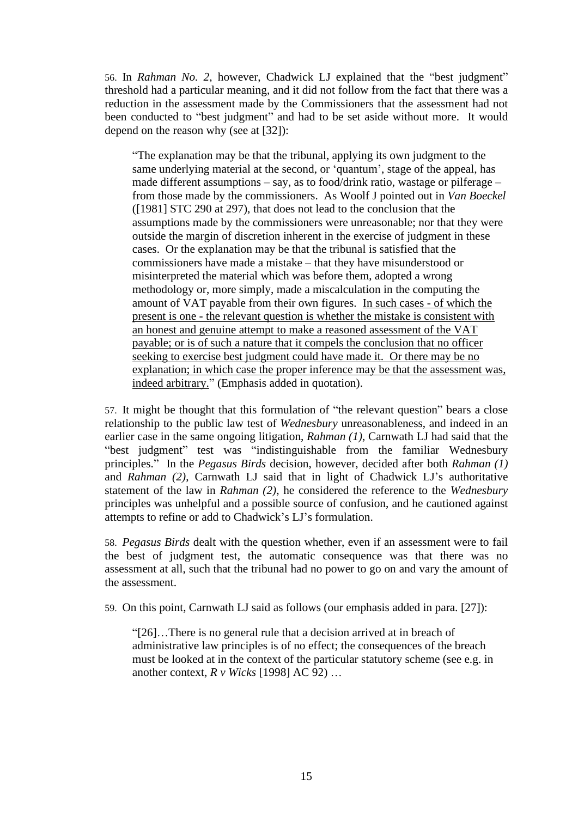56. In *Rahman No. 2*, however, Chadwick LJ explained that the "best judgment" threshold had a particular meaning, and it did not follow from the fact that there was a reduction in the assessment made by the Commissioners that the assessment had not been conducted to "best judgment" and had to be set aside without more. It would depend on the reason why (see at [32]):

"The explanation may be that the tribunal, applying its own judgment to the same underlying material at the second, or 'quantum', stage of the appeal, has made different assumptions – say, as to food/drink ratio, wastage or pilferage – from those made by the commissioners. As Woolf J pointed out in *Van Boeckel* ([1981] STC 290 at 297), that does not lead to the conclusion that the assumptions made by the commissioners were unreasonable; nor that they were outside the margin of discretion inherent in the exercise of judgment in these cases. Or the explanation may be that the tribunal is satisfied that the commissioners have made a mistake – that they have misunderstood or misinterpreted the material which was before them, adopted a wrong methodology or, more simply, made a miscalculation in the computing the amount of VAT payable from their own figures. In such cases - of which the present is one - the relevant question is whether the mistake is consistent with an honest and genuine attempt to make a reasoned assessment of the VAT payable; or is of such a nature that it compels the conclusion that no officer seeking to exercise best judgment could have made it. Or there may be no explanation; in which case the proper inference may be that the assessment was, indeed arbitrary." (Emphasis added in quotation).

57. It might be thought that this formulation of "the relevant question" bears a close relationship to the public law test of *Wednesbury* unreasonableness, and indeed in an earlier case in the same ongoing litigation, *Rahman (1)*, Carnwath LJ had said that the "best judgment" test was "indistinguishable from the familiar Wednesbury principles." In the *Pegasus Birds* decision, however, decided after both *Rahman (1)* and *Rahman (2)*, Carnwath LJ said that in light of Chadwick LJ's authoritative statement of the law in *Rahman (2)*, he considered the reference to the *Wednesbury* principles was unhelpful and a possible source of confusion, and he cautioned against attempts to refine or add to Chadwick's LJ's formulation.

58. *Pegasus Birds* dealt with the question whether, even if an assessment were to fail the best of judgment test, the automatic consequence was that there was no assessment at all, such that the tribunal had no power to go on and vary the amount of the assessment.

59. On this point, Carnwath LJ said as follows (our emphasis added in para. [27]):

"[26]…There is no general rule that a decision arrived at in breach of administrative law principles is of no effect; the consequences of the breach must be looked at in the context of the particular statutory scheme (see e.g. in another context, *R v Wicks* [1998] AC 92) …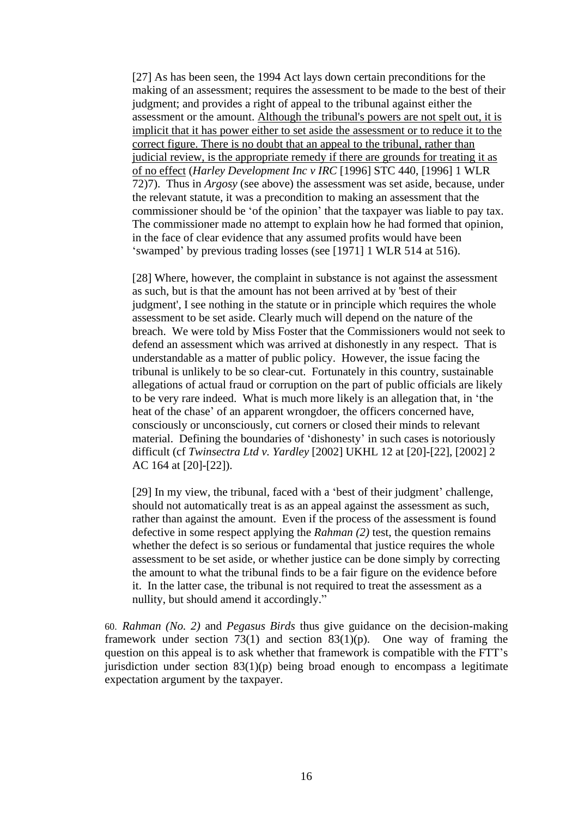[27] As has been seen, the 1994 Act lays down certain preconditions for the making of an assessment; requires the assessment to be made to the best of their judgment; and provides a right of appeal to the tribunal against either the assessment or the amount. Although the tribunal's powers are not spelt out, it is implicit that it has power either to set aside the assessment or to reduce it to the correct figure. There is no doubt that an appeal to the tribunal, rather than judicial review, is the appropriate remedy if there are grounds for treating it as of no effect (*Harley Development Inc v IRC* [1996] STC 440, [1996] 1 WLR 72)7). Thus in *Argosy* (see above) the assessment was set aside, because, under the relevant statute, it was a precondition to making an assessment that the commissioner should be 'of the opinion' that the taxpayer was liable to pay tax. The commissioner made no attempt to explain how he had formed that opinion, in the face of clear evidence that any assumed profits would have been 'swamped' by previous trading losses (see [1971] 1 WLR 514 at 516).

[28] Where, however, the complaint in substance is not against the assessment as such, but is that the amount has not been arrived at by 'best of their judgment', I see nothing in the statute or in principle which requires the whole assessment to be set aside. Clearly much will depend on the nature of the breach. We were told by Miss Foster that the Commissioners would not seek to defend an assessment which was arrived at dishonestly in any respect. That is understandable as a matter of public policy. However, the issue facing the tribunal is unlikely to be so clear-cut. Fortunately in this country, sustainable allegations of actual fraud or corruption on the part of public officials are likely to be very rare indeed. What is much more likely is an allegation that, in 'the heat of the chase' of an apparent wrongdoer, the officers concerned have, consciously or unconsciously, cut corners or closed their minds to relevant material. Defining the boundaries of 'dishonesty' in such cases is notoriously difficult (cf *Twinsectra Ltd v. Yardley* [2002] UKHL 12 at [20]-[22], [2002] 2 AC 164 at [20]-[22]).

[29] In my view, the tribunal, faced with a 'best of their judgment' challenge, should not automatically treat is as an appeal against the assessment as such, rather than against the amount. Even if the process of the assessment is found defective in some respect applying the *Rahman (2)* test, the question remains whether the defect is so serious or fundamental that justice requires the whole assessment to be set aside, or whether justice can be done simply by correcting the amount to what the tribunal finds to be a fair figure on the evidence before it. In the latter case, the tribunal is not required to treat the assessment as a nullity, but should amend it accordingly."

60. *Rahman (No. 2)* and *Pegasus Birds* thus give guidance on the decision-making framework under section 73(1) and section 83(1)(p). One way of framing the question on this appeal is to ask whether that framework is compatible with the FTT's jurisdiction under section  $83(1)(p)$  being broad enough to encompass a legitimate expectation argument by the taxpayer.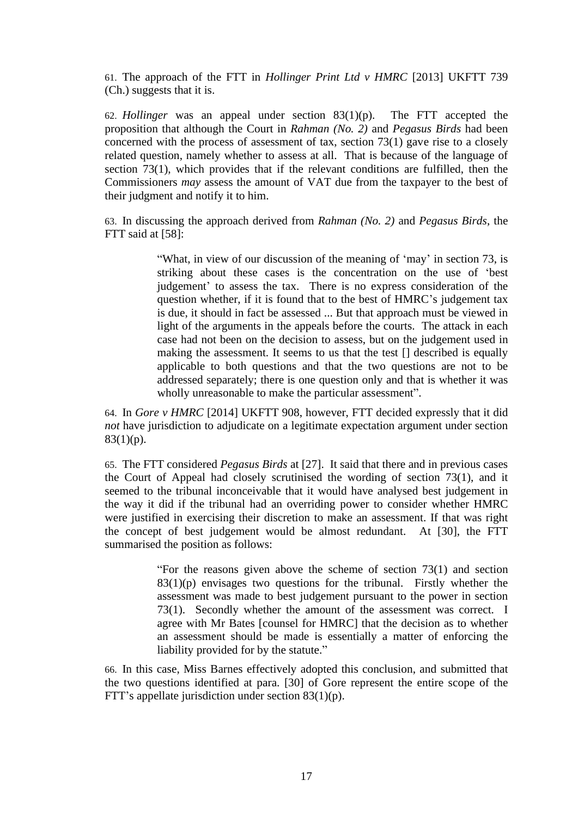61. The approach of the FTT in *Hollinger Print Ltd v HMRC* [2013] UKFTT 739 (Ch.) suggests that it is.

62. *Hollinger* was an appeal under section 83(1)(p). The FTT accepted the proposition that although the Court in *Rahman (No. 2)* and *Pegasus Birds* had been concerned with the process of assessment of tax, section 73(1) gave rise to a closely related question, namely whether to assess at all. That is because of the language of section 73(1), which provides that if the relevant conditions are fulfilled, then the Commissioners *may* assess the amount of VAT due from the taxpayer to the best of their judgment and notify it to him.

63. In discussing the approach derived from *Rahman (No. 2)* and *Pegasus Birds*, the FTT said at [58]:

> "What, in view of our discussion of the meaning of 'may' in section 73, is striking about these cases is the concentration on the use of 'best judgement' to assess the tax. There is no express consideration of the question whether, if it is found that to the best of HMRC's judgement tax is due, it should in fact be assessed ... But that approach must be viewed in light of the arguments in the appeals before the courts. The attack in each case had not been on the decision to assess, but on the judgement used in making the assessment. It seems to us that the test [] described is equally applicable to both questions and that the two questions are not to be addressed separately; there is one question only and that is whether it was wholly unreasonable to make the particular assessment".

64. In *Gore v HMRC* [2014] UKFTT 908, however, FTT decided expressly that it did *not* have jurisdiction to adjudicate on a legitimate expectation argument under section  $83(1)(p)$ .

65. The FTT considered *Pegasus Birds* at [27]. It said that there and in previous cases the Court of Appeal had closely scrutinised the wording of section 73(1), and it seemed to the tribunal inconceivable that it would have analysed best judgement in the way it did if the tribunal had an overriding power to consider whether HMRC were justified in exercising their discretion to make an assessment. If that was right the concept of best judgement would be almost redundant. At [30], the FTT summarised the position as follows:

> "For the reasons given above the scheme of section 73(1) and section  $83(1)(p)$  envisages two questions for the tribunal. Firstly whether the assessment was made to best judgement pursuant to the power in section 73(1). Secondly whether the amount of the assessment was correct. I agree with Mr Bates [counsel for HMRC] that the decision as to whether an assessment should be made is essentially a matter of enforcing the liability provided for by the statute."

66. In this case, Miss Barnes effectively adopted this conclusion, and submitted that the two questions identified at para. [30] of Gore represent the entire scope of the FTT's appellate jurisdiction under section 83(1)(p).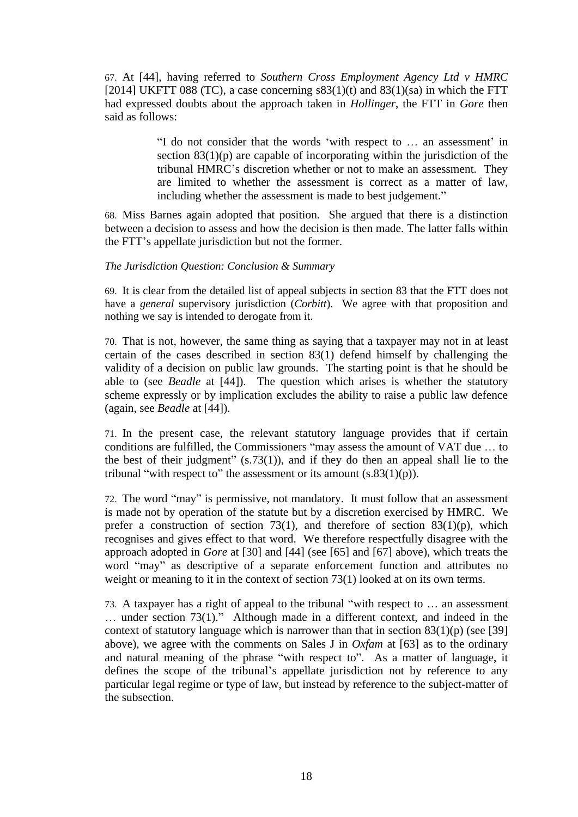67. At [44], having referred to *Southern Cross Employment Agency Ltd v HMRC*  [2014] UKFTT 088 (TC), a case concerning  $s83(1)(t)$  and  $83(1)(sa)$  in which the FTT had expressed doubts about the approach taken in *Hollinger*, the FTT in *Gore* then said as follows:

> "I do not consider that the words 'with respect to … an assessment' in section  $83(1)(p)$  are capable of incorporating within the jurisdiction of the tribunal HMRC's discretion whether or not to make an assessment. They are limited to whether the assessment is correct as a matter of law, including whether the assessment is made to best judgement."

68. Miss Barnes again adopted that position. She argued that there is a distinction between a decision to assess and how the decision is then made. The latter falls within the FTT's appellate jurisdiction but not the former.

### *The Jurisdiction Question: Conclusion & Summary*

69. It is clear from the detailed list of appeal subjects in section 83 that the FTT does not have a *general* supervisory jurisdiction (*Corbitt*). We agree with that proposition and nothing we say is intended to derogate from it.

70. That is not, however, the same thing as saying that a taxpayer may not in at least certain of the cases described in section 83(1) defend himself by challenging the validity of a decision on public law grounds. The starting point is that he should be able to (see *Beadle* at [44]). The question which arises is whether the statutory scheme expressly or by implication excludes the ability to raise a public law defence (again, see *Beadle* at [44]).

71. In the present case, the relevant statutory language provides that if certain conditions are fulfilled, the Commissioners "may assess the amount of VAT due … to the best of their judgment"  $(s.73(1))$ , and if they do then an appeal shall lie to the tribunal "with respect to" the assessment or its amount  $(s.83(1)(p))$ .

72. The word "may" is permissive, not mandatory. It must follow that an assessment is made not by operation of the statute but by a discretion exercised by HMRC. We prefer a construction of section 73(1), and therefore of section 83(1)(p), which recognises and gives effect to that word. We therefore respectfully disagree with the approach adopted in *Gore* at [30] and [44] (see [65] and [67] above), which treats the word "may" as descriptive of a separate enforcement function and attributes no weight or meaning to it in the context of section 73(1) looked at on its own terms.

73. A taxpayer has a right of appeal to the tribunal "with respect to … an assessment … under section 73(1)." Although made in a different context, and indeed in the context of statutory language which is narrower than that in section  $83(1)(p)$  (see [39] above), we agree with the comments on Sales J in *Oxfam* at [63] as to the ordinary and natural meaning of the phrase "with respect to". As a matter of language, it defines the scope of the tribunal's appellate jurisdiction not by reference to any particular legal regime or type of law, but instead by reference to the subject-matter of the subsection.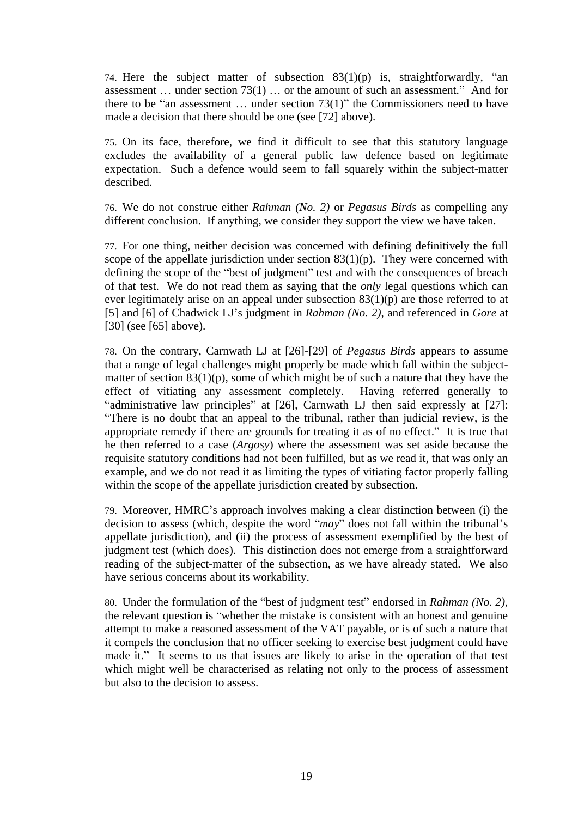74. Here the subject matter of subsection 83(1)(p) is, straightforwardly, "an assessment … under section 73(1) … or the amount of such an assessment." And for there to be "an assessment  $\ldots$  under section 73(1)" the Commissioners need to have made a decision that there should be one (see [72] above).

75. On its face, therefore, we find it difficult to see that this statutory language excludes the availability of a general public law defence based on legitimate expectation. Such a defence would seem to fall squarely within the subject-matter described.

76. We do not construe either *Rahman (No. 2)* or *Pegasus Birds* as compelling any different conclusion. If anything, we consider they support the view we have taken.

77. For one thing, neither decision was concerned with defining definitively the full scope of the appellate jurisdiction under section  $83(1)(p)$ . They were concerned with defining the scope of the "best of judgment" test and with the consequences of breach of that test. We do not read them as saying that the *only* legal questions which can ever legitimately arise on an appeal under subsection 83(1)(p) are those referred to at [5] and [6] of Chadwick LJ's judgment in *Rahman (No. 2)*, and referenced in *Gore* at [30] (see [65] above).

78. On the contrary, Carnwath LJ at [26]-[29] of *Pegasus Birds* appears to assume that a range of legal challenges might properly be made which fall within the subjectmatter of section  $83(1)(p)$ , some of which might be of such a nature that they have the effect of vitiating any assessment completely. Having referred generally to "administrative law principles" at [26], Carnwath LJ then said expressly at [27]: "There is no doubt that an appeal to the tribunal, rather than judicial review, is the appropriate remedy if there are grounds for treating it as of no effect." It is true that he then referred to a case (*Argosy*) where the assessment was set aside because the requisite statutory conditions had not been fulfilled, but as we read it, that was only an example, and we do not read it as limiting the types of vitiating factor properly falling within the scope of the appellate jurisdiction created by subsection.

79. Moreover, HMRC's approach involves making a clear distinction between (i) the decision to assess (which, despite the word "*may*" does not fall within the tribunal's appellate jurisdiction), and (ii) the process of assessment exemplified by the best of judgment test (which does). This distinction does not emerge from a straightforward reading of the subject-matter of the subsection, as we have already stated. We also have serious concerns about its workability.

80. Under the formulation of the "best of judgment test" endorsed in *Rahman (No. 2)*, the relevant question is "whether the mistake is consistent with an honest and genuine attempt to make a reasoned assessment of the VAT payable, or is of such a nature that it compels the conclusion that no officer seeking to exercise best judgment could have made it." It seems to us that issues are likely to arise in the operation of that test which might well be characterised as relating not only to the process of assessment but also to the decision to assess.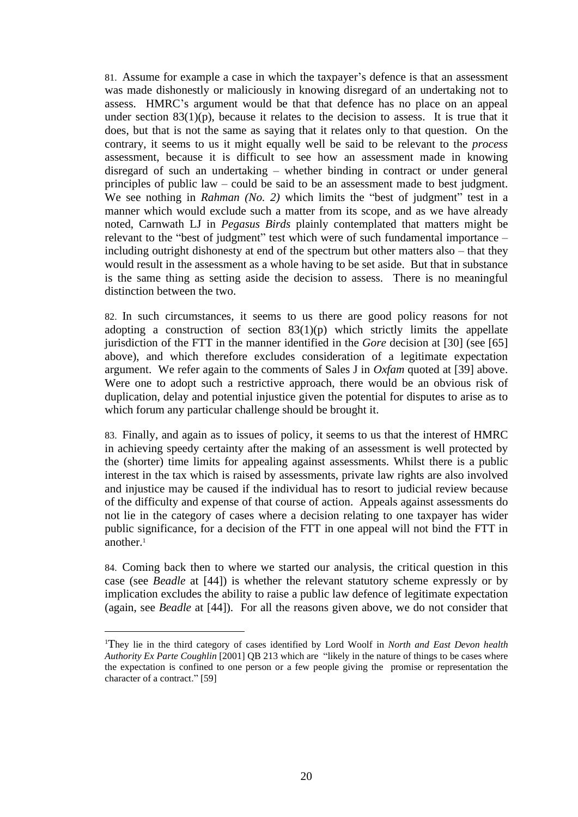81. Assume for example a case in which the taxpayer's defence is that an assessment was made dishonestly or maliciously in knowing disregard of an undertaking not to assess. HMRC's argument would be that that defence has no place on an appeal under section  $83(1)(p)$ , because it relates to the decision to assess. It is true that it does, but that is not the same as saying that it relates only to that question. On the contrary, it seems to us it might equally well be said to be relevant to the *process* assessment, because it is difficult to see how an assessment made in knowing disregard of such an undertaking – whether binding in contract or under general principles of public law – could be said to be an assessment made to best judgment. We see nothing in *Rahman (No. 2)* which limits the "best of judgment" test in a manner which would exclude such a matter from its scope, and as we have already noted, Carnwath LJ in *Pegasus Birds* plainly contemplated that matters might be relevant to the "best of judgment" test which were of such fundamental importance – including outright dishonesty at end of the spectrum but other matters also – that they would result in the assessment as a whole having to be set aside. But that in substance is the same thing as setting aside the decision to assess. There is no meaningful distinction between the two.

82. In such circumstances, it seems to us there are good policy reasons for not adopting a construction of section  $83(1)(p)$  which strictly limits the appellate jurisdiction of the FTT in the manner identified in the *Gore* decision at [30] (see [65] above), and which therefore excludes consideration of a legitimate expectation argument. We refer again to the comments of Sales J in *Oxfam* quoted at [39] above. Were one to adopt such a restrictive approach, there would be an obvious risk of duplication, delay and potential injustice given the potential for disputes to arise as to which forum any particular challenge should be brought it.

83. Finally, and again as to issues of policy, it seems to us that the interest of HMRC in achieving speedy certainty after the making of an assessment is well protected by the (shorter) time limits for appealing against assessments. Whilst there is a public interest in the tax which is raised by assessments, private law rights are also involved and injustice may be caused if the individual has to resort to judicial review because of the difficulty and expense of that course of action. Appeals against assessments do not lie in the category of cases where a decision relating to one taxpayer has wider public significance, for a decision of the FTT in one appeal will not bind the FTT in another. 1

84. Coming back then to where we started our analysis, the critical question in this case (see *Beadle* at [44]) is whether the relevant statutory scheme expressly or by implication excludes the ability to raise a public law defence of legitimate expectation (again, see *Beadle* at [44]). For all the reasons given above, we do not consider that

<sup>1</sup>They lie in the third category of cases identified by Lord Woolf in *North and East Devon health Authority Ex Parte Coughlin* [2001] QB 213 which are "likely in the nature of things to be cases where the expectation is confined to one person or a few people giving the promise or representation the character of a contract." [59]